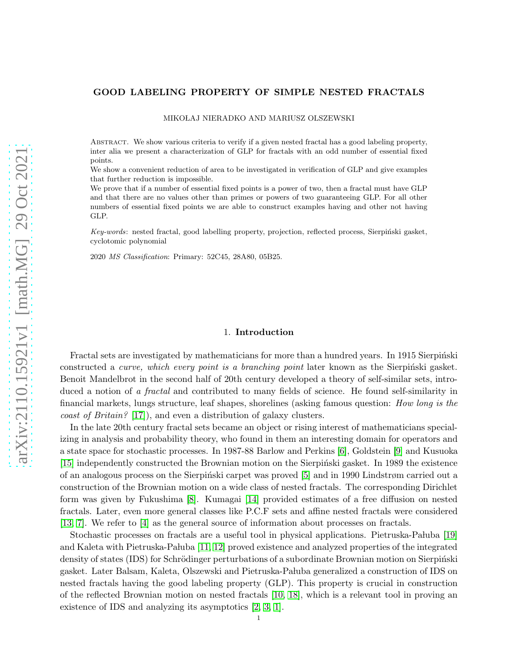## GOOD LABELING PROPERTY OF SIMPLE NESTED FRACTALS

MIKOŁAJ NIERADKO AND MARIUSZ OLSZEWSKI

Abstract. We show various criteria to verify if a given nested fractal has a good labeling property, inter alia we present a characterization of GLP for fractals with an odd number of essential fixed points.

We show a convenient reduction of area to be investigated in verification of GLP and give examples that further reduction is impossible.

We prove that if a number of essential fixed points is a power of two, then a fractal must have GLP and that there are no values other than primes or powers of two guaranteeing GLP. For all other numbers of essential fixed points we are able to construct examples having and other not having GLP.

Key-words: nested fractal, good labelling property, projection, reflected process, Sierpiński gasket, cyclotomic polynomial

2020 MS Classification: Primary: 52C45, 28A80, 05B25.

#### 1. Introduction

Fractal sets are investigated by mathematicians for more than a hundred years. In 1915 Sierpinski constructed a *curve, which every point is a branching point* later known as the Sierpinski gasket. Benoit Mandelbrot in the second half of 20th century developed a theory of self-similar sets, introduced a notion of a *fractal* and contributed to many fields of science. He found self-similarity in financial markets, lungs structure, leaf shapes, shorelines (asking famous question: How long is the coast of Britain? [\[17\]](#page-20-0)), and even a distribution of galaxy clusters.

In the late 20th century fractal sets became an object or rising interest of mathematicians specializing in analysis and probability theory, who found in them an interesting domain for operators and a state space for stochastic processes. In 1987-88 Barlow and Perkins [\[6\]](#page-20-1), Goldstein [\[9\]](#page-20-2) and Kusuoka [\[15\]](#page-20-3) independently constructed the Brownian motion on the Sierpinski gasket. In 1989 the existence of an analogous process on the Sierpinski carpet was proved [\[5\]](#page-20-4) and in 1990 Lindstrøm carried out a construction of the Brownian motion on a wide class of nested fractals. The corresponding Dirichlet form was given by Fukushima [\[8\]](#page-20-5). Kumagai [\[14\]](#page-20-6) provided estimates of a free diffusion on nested fractals. Later, even more general classes like P.C.F sets and affine nested fractals were considered [\[13,](#page-20-7) [7\]](#page-20-8). We refer to [\[4\]](#page-20-9) as the general source of information about processes on fractals.

Stochastic processes on fractals are a useful tool in physical applications. Pietruska-Paluba [\[19\]](#page-20-10) and Kaleta with Pietruska-Pałuba [\[11,](#page-20-11) [12\]](#page-20-12) proved existence and analyzed properties of the integrated density of states (IDS) for Schrödinger perturbations of a subordinate Brownian motion on Sierpiński gasket. Later Balsam, Kaleta, Olszewski and Pietruska-Pałuba generalized a construction of IDS on nested fractals having the good labeling property (GLP). This property is crucial in construction of the reflected Brownian motion on nested fractals [\[10,](#page-20-13) [18\]](#page-20-14), which is a relevant tool in proving an existence of IDS and analyzing its asymptotics [\[2,](#page-20-15) [3,](#page-20-16) [1\]](#page-20-17).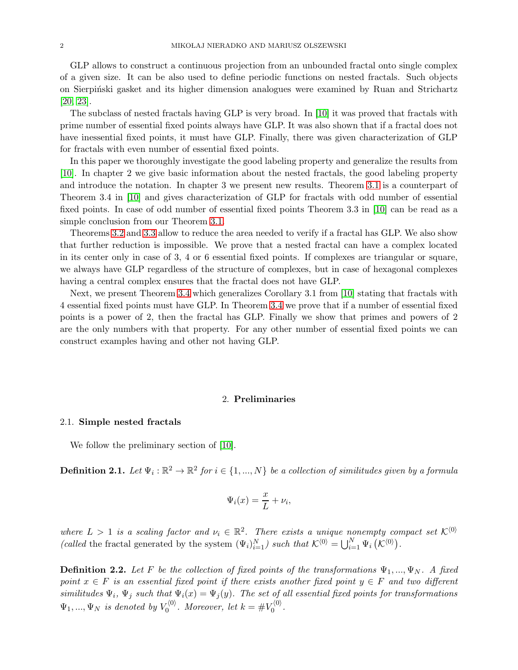GLP allows to construct a continuous projection from an unbounded fractal onto single complex of a given size. It can be also used to define periodic functions on nested fractals. Such objects on Sierpinski gasket and its higher dimension analogues were examined by Ruan and Strichartz [\[20,](#page-20-18) [23\]](#page-20-19).

The subclass of nested fractals having GLP is very broad. In [\[10\]](#page-20-13) it was proved that fractals with prime number of essential fixed points always have GLP. It was also shown that if a fractal does not have inessential fixed points, it must have GLP. Finally, there was given characterization of GLP for fractals with even number of essential fixed points.

In this paper we thoroughly investigate the good labeling property and generalize the results from [\[10\]](#page-20-13). In chapter 2 we give basic information about the nested fractals, the good labeling property and introduce the notation. In chapter 3 we present new results. Theorem [3.1](#page-6-0) is a counterpart of Theorem 3.4 in [\[10\]](#page-20-13) and gives characterization of GLP for fractals with odd number of essential fixed points. In case of odd number of essential fixed points Theorem 3.3 in [\[10\]](#page-20-13) can be read as a simple conclusion from our Theorem [3.1.](#page-6-0)

Theorems [3.2](#page-8-0) and [3.3](#page-16-0) allow to reduce the area needed to verify if a fractal has GLP. We also show that further reduction is impossible. We prove that a nested fractal can have a complex located in its center only in case of 3, 4 or 6 essential fixed points. If complexes are triangular or square, we always have GLP regardless of the structure of complexes, but in case of hexagonal complexes having a central complex ensures that the fractal does not have GLP.

Next, we present Theorem [3.4](#page-16-1) which generalizes Corollary 3.1 from [\[10\]](#page-20-13) stating that fractals with 4 essential fixed points must have GLP. In Theorem [3.4](#page-16-1) we prove that if a number of essential fixed points is a power of 2, then the fractal has GLP. Finally we show that primes and powers of 2 are the only numbers with that property. For any other number of essential fixed points we can construct examples having and other not having GLP.

### 2. Preliminaries

#### 2.1. Simple nested fractals

We follow the preliminary section of [\[10\]](#page-20-13).

**Definition 2.1.** Let  $\Psi_i : \mathbb{R}^2 \to \mathbb{R}^2$  for  $i \in \{1, ..., N\}$  be a collection of similitudes given by a formula

$$
\Psi_i(x) = \frac{x}{L} + \nu_i,
$$

where  $L > 1$  is a scaling factor and  $\nu_i \in \mathbb{R}^2$ . There exists a unique nonempty compact set  $\mathcal{K}^{\langle 0 \rangle}$ (called the fractal generated by the system  $(\Psi_i)_{i=1}^N$ ) such that  $\mathcal{K}^{(0)} = \bigcup_{i=1}^N \Psi_i(\mathcal{K}^{(0)})$ .

**Definition 2.2.** Let F be the collection of fixed points of the transformations  $\Psi_1, ..., \Psi_N$ . A fixed point  $x \in F$  is an essential fixed point if there exists another fixed point  $y \in F$  and two different similitudes  $\Psi_i$ ,  $\Psi_j$  such that  $\Psi_i(x) = \Psi_j(y)$ . The set of all essential fixed points for transformations  $\Psi_1, ..., \Psi_N$  is denoted by  $V_0^{(0)}$ . Moreover, let  $k = \#V_0^{(0)}$ .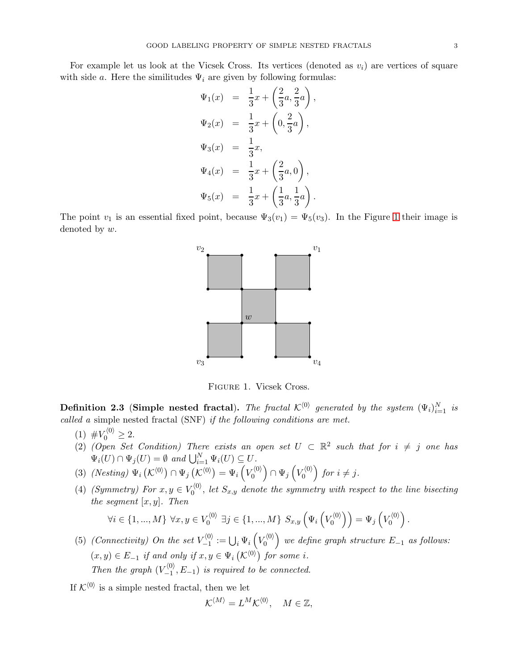For example let us look at the Vicsek Cross. Its vertices (denoted as  $v_i$ ) are vertices of square with side a. Here the similitudes  $\Psi_i$  are given by following formulas:

$$
\Psi_1(x) = \frac{1}{3}x + \left(\frac{2}{3}a, \frac{2}{3}a\right),
$$
  
\n
$$
\Psi_2(x) = \frac{1}{3}x + \left(0, \frac{2}{3}a\right),
$$
  
\n
$$
\Psi_3(x) = \frac{1}{3}x,
$$
  
\n
$$
\Psi_4(x) = \frac{1}{3}x + \left(\frac{2}{3}a, 0\right),
$$
  
\n
$$
\Psi_5(x) = \frac{1}{3}x + \left(\frac{1}{3}a, \frac{1}{3}a\right).
$$

The point  $v_1$  is an essential fixed point, because  $\Psi_3(v_1) = \Psi_5(v_3)$ . In the Figure [1](#page-2-0) their image is denoted by w.



<span id="page-2-0"></span>Figure 1. Vicsek Cross.

**Definition 2.3** (Simple nested fractal). The fractal  $\mathcal{K}^{(0)}$  generated by the system  $(\Psi_i)_{i=1}^N$  is called a simple nested fractal (SNF) if the following conditions are met.

- (1)  $\#V_0^{\langle 0 \rangle} \geq 2$ .
- (2) (Open Set Condition) There exists an open set  $U \subset \mathbb{R}^2$  such that for  $i \neq j$  one has  $\Psi_i(U) \cap \Psi_j(U) = \emptyset$  and  $\bigcup_{i=1}^N \Psi_i(U) \subseteq U$ .
- (3)  $(Nesting) \Psi_i(K^{(0)}) \cap \Psi_j(K^{(0)}) = \Psi_i(V_0^{(0)}) \cap \Psi_j(V_0^{(0)})$  for  $i \neq j$ .
- (4) (Symmetry) For  $x, y \in V_0^{(0)}$ , let  $S_{x,y}$  denote the symmetry with respect to the line bisecting the segment  $[x, y]$ . Then

$$
\forall i \in \{1,...,M\} \ \forall x,y \in V_0^{\langle 0 \rangle} \ \exists j \in \{1,...,M\} \ S_{x,y}\left(\Psi_i\left(V_0^{\langle 0 \rangle}\right)\right)=\Psi_j\left(V_0^{\langle 0 \rangle}\right).
$$

(5) (Connectivity) On the set  $V_{-1}^{(0)}$  $V_{-1}^{(0)} := \bigcup_i \Psi_i\left(V_0^{(0)}\right)$  we define graph structure  $E_{-1}$  as follows:  $(x, y) \in E_{-1}$  if and only if  $x, y \in \Psi_i(\mathcal{K}^{(0)})$  for some i. Then the graph  $(V_{-1}^{\langle 0 \rangle})$  $\binom{10}{-1}, E_{-1}$  is required to be connected.

If  $K^{\langle 0 \rangle}$  is a simple nested fractal, then we let

$$
\mathcal{K}^{\langle M \rangle} = L^M \mathcal{K}^{\langle 0 \rangle}, \quad M \in \mathbb{Z},
$$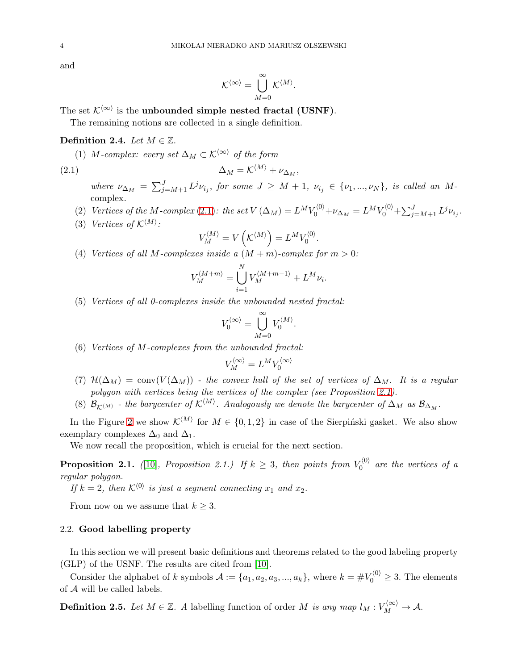and

$$
\mathcal{K}^{\langle \infty \rangle} = \bigcup_{M=0}^{\infty} \mathcal{K}^{\langle M \rangle}.
$$

The set  $\mathcal{K}^{\langle \infty \rangle}$  is the unbounded simple nested fractal (USNF).

The remaining notions are collected in a single definition.

## <span id="page-3-2"></span>Definition 2.4. Let  $M \in \mathbb{Z}$ .

(1) M-complex: every set  $\Delta_M \subset \mathcal{K}^{\langle \infty \rangle}$  of the form

<span id="page-3-0"></span>
$$
\Delta_M = \mathcal{K}^{\langle M \rangle} + \nu_{\Delta_M},
$$

where  $\nu_{\Delta_M} = \sum_{j=M+1}^{J} L^j \nu_{i_j}$ , for some  $J \geq M+1$ ,  $\nu_{i_j} \in {\{\nu_1, ..., \nu_N\}}$ , is called an Mcomplex.

- (2) Vertices of the M-complex [\(2.1\)](#page-3-0): the set  $V(\Delta_M) = L^M V_0^{(0)} + \nu_{\Delta_M} = L^M V_0^{(0)} + \sum_{j=M+1}^J L^j \nu_{i_j}$ .
- (3) Vertices of  $\mathcal{K}^{\langle M \rangle}$ :

$$
V_M^{\langle M\rangle}=V\left(\mathcal K^{\langle M\rangle}\right)=L^MV_0^{\langle 0\rangle}.
$$

(4) Vertices of all M-complexes inside a  $(M + m)$ -complex for  $m > 0$ :

$$
V_M^{\langle M+m\rangle} = \bigcup_{i=1}^N V_M^{\langle M+m-1\rangle} + L^M \nu_i.
$$

(5) Vertices of all 0-complexes inside the unbounded nested fractal:

$$
V_0^{\langle \infty \rangle} = \bigcup_{M=0}^{\infty} V_0^{\langle M \rangle}.
$$

(6) Vertices of M-complexes from the unbounded fractal:

$$
V_M^{\langle \infty \rangle} = L^M V_0^{\langle \infty \rangle}
$$

- (7)  $\mathcal{H}(\Delta_M) = \text{conv}(V(\Delta_M))$  the convex hull of the set of vertices of  $\Delta_M$ . It is a regular polygon with vertices being the vertices of the complex (see Proposition [2.1\)](#page-3-1).
- (8)  $\mathcal{B}_{\mathcal{K}^{(M)}}$  the barycenter of  $\mathcal{K}^{(M)}$ . Analogously we denote the barycenter of  $\Delta_M$  as  $\mathcal{B}_{\Delta_M}$ .

In the Figure [2](#page-4-0) we show  $\mathcal{K}^{\langle M \rangle}$  for  $M \in \{0, 1, 2\}$  in case of the Sierpinski gasket. We also show exemplary complexes  $\Delta_0$  and  $\Delta_1$ .

We now recall the proposition, which is crucial for the next section.

<span id="page-3-1"></span>**Proposition 2.1.** ([\[10\]](#page-20-13), Proposition 2.1.) If  $k \geq 3$ , then points from  $V_0^{(0)}$  are the vertices of a regular polygon.

If  $k = 2$ , then  $\mathcal{K}^{\langle 0 \rangle}$  is just a segment connecting  $x_1$  and  $x_2$ .

From now on we assume that  $k \geq 3$ .

# 2.2. Good labelling property

In this section we will present basic definitions and theorems related to the good labeling property (GLP) of the USNF. The results are cited from [\[10\]](#page-20-13).

Consider the alphabet of k symbols  $A := \{a_1, a_2, a_3, ..., a_k\}$ , where  $k = \#V_0^{(0)} \geq 3$ . The elements of A will be called labels.

**Definition 2.5.** Let  $M \in \mathbb{Z}$ . A labelling function of order M is any map  $l_M : V_M^{(\infty)} \to \mathcal{A}$ .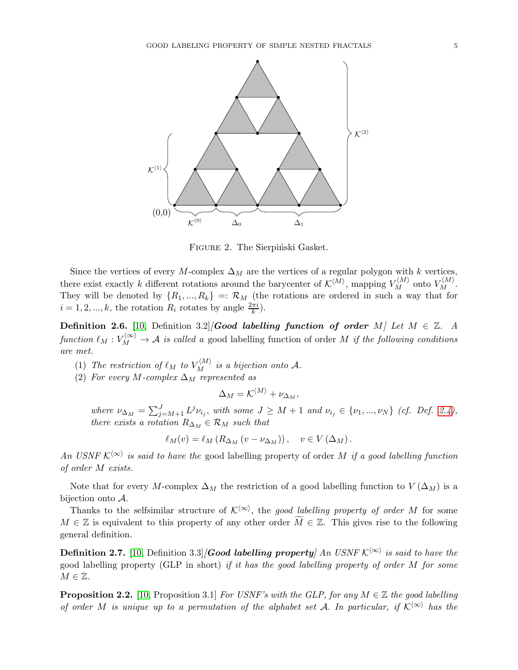

<span id="page-4-0"></span>FIGURE 2. The Sierpiński Gasket.

Since the vertices of every M-complex  $\Delta_M$  are the vertices of a regular polygon with k vertices, there exist exactly k different rotations around the barycenter of  $\mathcal{K}^{\langle M \rangle}$ , mapping  $V_M^{\langle M \rangle}$  onto  $V_M^{\langle M \rangle}$ . They will be denoted by  $\{R_1, ..., R_k\} =: \mathcal{R}_M$  (the rotations are ordered in such a way that for  $i = 1, 2, ..., k$ , the rotation  $R_i$  rotates by angle  $\frac{2\pi i}{k}$ .

<span id="page-4-1"></span>**Definition 2.6.** [\[10,](#page-20-13) Definition 3.2][Good labelling function of order M] Let  $M \in \mathbb{Z}$ . A function  $\ell_M : V_M^{(\infty)} \to \mathcal{A}$  is called a good labelling function of order M if the following conditions are met.

- (1) The restriction of  $\ell_M$  to  $V_M^{\langle M \rangle}$  is a bijection onto A.
- (2) For every M-complex  $\Delta_M$  represented as

$$
\Delta_M = \mathcal{K}^{\langle M \rangle} + \nu_{\Delta_M},
$$

where  $\nu_{\Delta_M} = \sum_{j=M+1}^{J} L^j \nu_{i_j}$ , with some  $J \geq M+1$  and  $\nu_{i_j} \in {\{\nu_1, ..., \nu_N\}}$  (cf. Def. [2.4\)](#page-3-2), there exists a rotation  $R_{\Delta_M} \in \mathcal{R}_M$  such that

$$
\ell_M(v) = \ell_M (R_{\Delta_M}(v - \nu_{\Delta_M})), \quad v \in V(\Delta_M).
$$

An USNF  $\mathcal{K}^{\langle\infty\rangle}$  is said to have the good labelling property of order M if a good labelling function of order M exists.

Note that for every M-complex  $\Delta_M$  the restriction of a good labelling function to  $V(\Delta_M)$  is a bijection onto A.

Thanks to the selfsimilar structure of  $\mathcal{K}^{\langle \infty \rangle}$ , the good labelling property of order M for some  $M \in \mathbb{Z}$  is equivalent to this property of any other order  $M \in \mathbb{Z}$ . This gives rise to the following general definition.

**Definition 2.7.** [\[10,](#page-20-13) Definition 3.3][Good labelling property] An USNF  $\mathcal{K}^{\langle\infty\rangle}$  is said to have the good labelling property (GLP in short) if it has the good labelling property of order M for some  $M \in \mathbb{Z}$ .

**Proposition 2.2.** [\[10,](#page-20-13) Proposition 3.1] For USNF's with the GLP, for any  $M \in \mathbb{Z}$  the good labelling of order M is unique up to a permutation of the alphabet set A. In particular, if  $\mathcal{K}^{\langle\infty\rangle}$  has the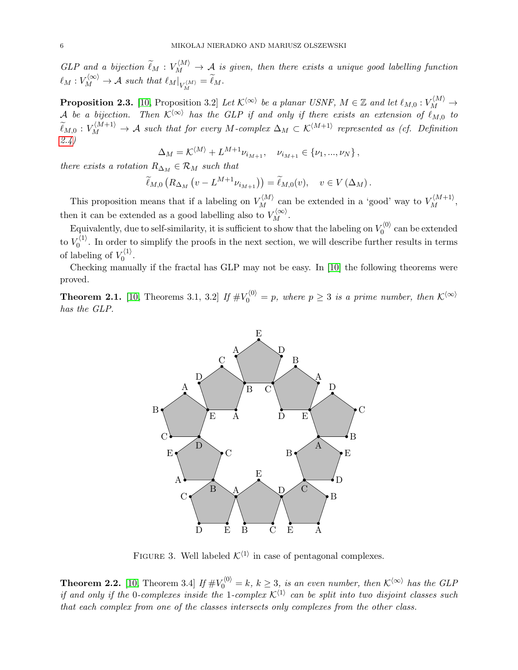GLP and a bijection  $\widetilde{\ell}_M : V_M^{\langle M \rangle} \to A$  is given, then there exists a unique good labelling function  $\ell_M: V_M^{\langle \infty \rangle} \to \mathcal{A} \ \textit{such that} \ \ell_M \vert_{V_M^{\langle M \rangle}} = \widetilde{\ell}_M.$ 

**Proposition 2.3.** [\[10,](#page-20-13) Proposition 3.2] Let  $\mathcal{K}^{\langle\infty\rangle}$  be a planar USNF,  $M \in \mathbb{Z}$  and let  $\ell_{M,0}: V_M^{\langle M \rangle} \to$ A be a bijection. Then  $\mathcal{K}^{\langle \infty \rangle}$  has the GLP if and only if there exists an extension of  $\ell_{M,0}$  to  $\widetilde{\ell}_{M,0}:V_M^{\langle M+1\rangle}\to \mathcal{A}$  such that for every M-complex  $\Delta_M\subset \mathcal{K}^{\langle M+1\rangle}$  represented as (cf. Definition [2.4\)](#page-3-2)

$$
\Delta_M = \mathcal{K}^{\langle M \rangle} + L^{M+1} \nu_{i_{M+1}}, \quad \nu_{i_{M+1}} \in \{\nu_1, ..., \nu_N\},
$$

there exists a rotation  $R_{\Delta_M} \in \mathcal{R}_M$  such that

$$
\widetilde{\ell}_{M,0}\left(R_{\Delta_M}\left(v - L^{M+1}\nu_{i_{M+1}}\right)\right) = \widetilde{\ell}_{M,0}(v), \quad v \in V\left(\Delta_M\right).
$$

This proposition means that if a labeling on  $V_M^{\langle M \rangle}$  can be extended in a 'good' way to  $V_M^{\langle M+1 \rangle}$ , then it can be extended as a good labelling also to  $V_M^{(\infty)}$ .

Equivalently, due to self-similarity, it is sufficient to show that the labeling on  $V_0^{(0)}$  can be extended to  $V_0^{(1)}$ . In order to simplify the proofs in the next section, we will describe further results in terms of labeling of  $V_0^{\langle 1 \rangle}$ .

Checking manually if the fractal has GLP may not be easy. In [\[10\]](#page-20-13) the following theorems were proved.

<span id="page-5-1"></span>**Theorem 2.1.** [\[10,](#page-20-13) Theorems 3.1, 3.2] If  $\#V_0^{(0)} = p$ , where  $p \geq 3$  is a prime number, then  $\mathcal{K}^{(\infty)}$ has the GLP.



FIGURE 3. Well labeled  $K^{\langle 1 \rangle}$  in case of pentagonal complexes.

<span id="page-5-0"></span>**Theorem 2.2.** [\[10,](#page-20-13) Theorem 3.4] If  $\#V_0^{(0)} = k$ ,  $k \geq 3$ , is an even number, then  $K^{\langle \infty \rangle}$  has the GLP if and only if the 0-complexes inside the 1-complex  $\mathcal{K}^{\langle 1\rangle}$  can be split into two disjoint classes such that each complex from one of the classes intersects only complexes from the other class.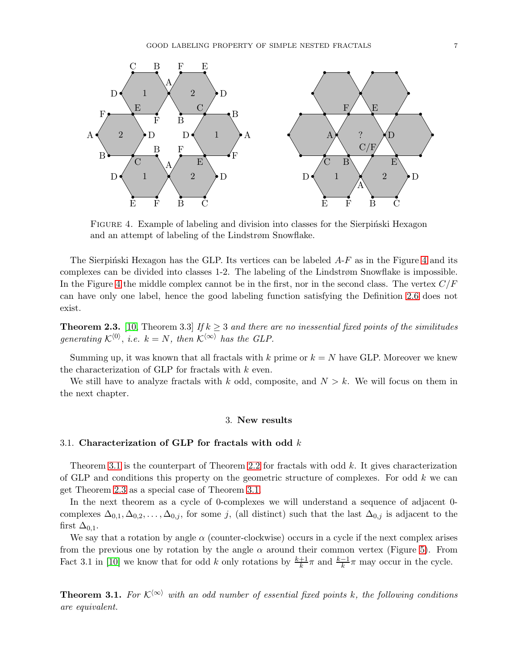

<span id="page-6-1"></span>FIGURE 4. Example of labeling and division into classes for the Sierpinski Hexagon and an attempt of labeling of the Lindstrøm Snowflake.

The Sierpinski Hexagon has the GLP. Its vertices can be labeled  $A-F$  as in the Figure [4](#page-6-1) and its complexes can be divided into classes 1-2. The labeling of the Lindstrøm Snowflake is impossible. In the Figure [4](#page-6-1) the middle complex cannot be in the first, nor in the second class. The vertex  $C/F$ can have only one label, hence the good labeling function satisfying the Definition [2.6](#page-4-1) does not exist.

<span id="page-6-2"></span>**Theorem 2.3.** [\[10,](#page-20-13) Theorem 3.3] If  $k \geq 3$  and there are no inessential fixed points of the similitudes generating  $\mathcal{K}^{\langle 0 \rangle}$ , i.e.  $k = N$ , then  $\mathcal{K}^{\langle \infty \rangle}$  has the GLP.

Summing up, it was known that all fractals with k prime or  $k = N$  have GLP. Moreover we knew the characterization of GLP for fractals with  $k$  even.

We still have to analyze fractals with k odd, composite, and  $N > k$ . We will focus on them in the next chapter.

# 3. New results

# 3.1. Characterization of GLP for fractals with odd  $k$

Theorem [3.1](#page-6-0) is the counterpart of Theorem [2.2](#page-5-0) for fractals with odd k. It gives characterization of GLP and conditions this property on the geometric structure of complexes. For odd  $k$  we can get Theorem [2.3](#page-6-2) as a special case of Theorem [3.1.](#page-6-0)

In the next theorem as a cycle of 0-complexes we will understand a sequence of adjacent 0 complexes  $\Delta_{0,1}, \Delta_{0,2}, \ldots, \Delta_{0,j}$ , for some j, (all distinct) such that the last  $\Delta_{0,j}$  is adjacent to the first  $\Delta_{0,1}$ .

We say that a rotation by angle  $\alpha$  (counter-clockwise) occurs in a cycle if the next complex arises from the previous one by rotation by the angle  $\alpha$  around their common vertex (Figure [5\)](#page-7-0). From Fact 3.1 in [\[10\]](#page-20-13) we know that for odd k only rotations by  $\frac{k+1}{k}\pi$  and  $\frac{k-1}{k}\pi$  may occur in the cycle.

<span id="page-6-0"></span>**Theorem 3.1.** For  $K^{\langle\infty\rangle}$  with an odd number of essential fixed points k, the following conditions are equivalent.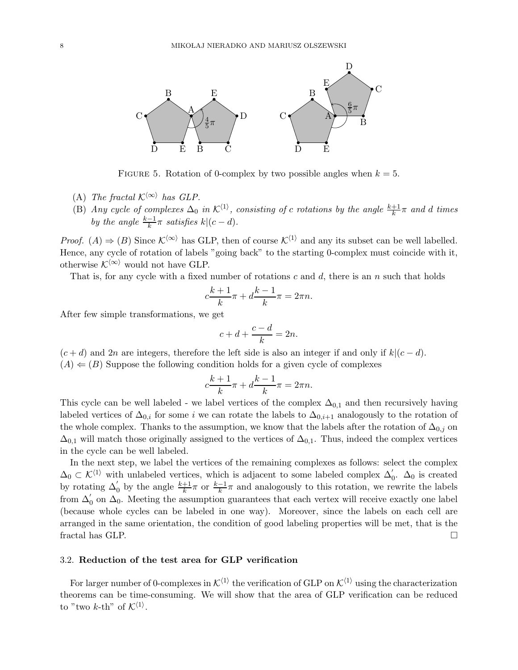

<span id="page-7-0"></span>FIGURE 5. Rotation of 0-complex by two possible angles when  $k = 5$ .

- (A) The fractal  $\mathcal{K}^{\langle \infty \rangle}$  has GLP.
- (B) Any cycle of complexes  $\Delta_0$  in  $\mathcal{K}^{\langle 1 \rangle}$ , consisting of c rotations by the angle  $\frac{k+1}{k}\pi$  and d times by the angle  $\frac{k-1}{k}\pi$  satisfies  $k|(c-d)$ .

*Proof.* (A)  $\Rightarrow$  (B) Since  $\mathcal{K}^{\langle\infty\rangle}$  has GLP, then of course  $\mathcal{K}^{\langle 1\rangle}$  and any its subset can be well labelled. Hence, any cycle of rotation of labels "going back" to the starting 0-complex must coincide with it, otherwise  $\mathcal{K}^{\langle \infty \rangle}$  would not have GLP.

That is, for any cycle with a fixed number of rotations  $c$  and  $d$ , there is an n such that holds

$$
c\frac{k+1}{k}\pi + d\frac{k-1}{k}\pi = 2\pi n.
$$

After few simple transformations, we get

$$
c + d + \frac{c - d}{k} = 2n.
$$

 $(c + d)$  and 2n are integers, therefore the left side is also an integer if and only if  $k|(c - d)$ .  $(A) \leftarrow (B)$  Suppose the following condition holds for a given cycle of complexes

$$
c\frac{k+1}{k}\pi + d\frac{k-1}{k}\pi = 2\pi n.
$$

This cycle can be well labeled - we label vertices of the complex  $\Delta_{0,1}$  and then recursively having labeled vertices of  $\Delta_{0,i}$  for some i we can rotate the labels to  $\Delta_{0,i+1}$  analogously to the rotation of the whole complex. Thanks to the assumption, we know that the labels after the rotation of  $\Delta_{0,j}$  on  $\Delta_{0,1}$  will match those originally assigned to the vertices of  $\Delta_{0,1}$ . Thus, indeed the complex vertices in the cycle can be well labeled.

In the next step, we label the vertices of the remaining complexes as follows: select the complex  $\Delta_0 \subset \mathcal{K}^{\langle 1 \rangle}$  with unlabeled vertices, which is adjacent to some labeled complex  $\Delta'_0$ .  $\Delta_0$  is created by rotating  $\Delta'_0$  by the angle  $\frac{k+1}{k}\pi$  or  $\frac{k-1}{k}\pi$  and analogously to this rotation, we rewrite the labels from  $\Delta'_0$  on  $\Delta_0$ . Meeting the assumption guarantees that each vertex will receive exactly one label (because whole cycles can be labeled in one way). Moreover, since the labels on each cell are arranged in the same orientation, the condition of good labeling properties will be met, that is the fractal has GLP.

## 3.2. Reduction of the test area for GLP verification

For larger number of 0-complexes in  $K^{\langle 1 \rangle}$  the verification of GLP on  $K^{\langle 1 \rangle}$  using the characterization theorems can be time-consuming. We will show that the area of GLP verification can be reduced to "two k-th" of  $\mathcal{K}^{\langle 1 \rangle}$ .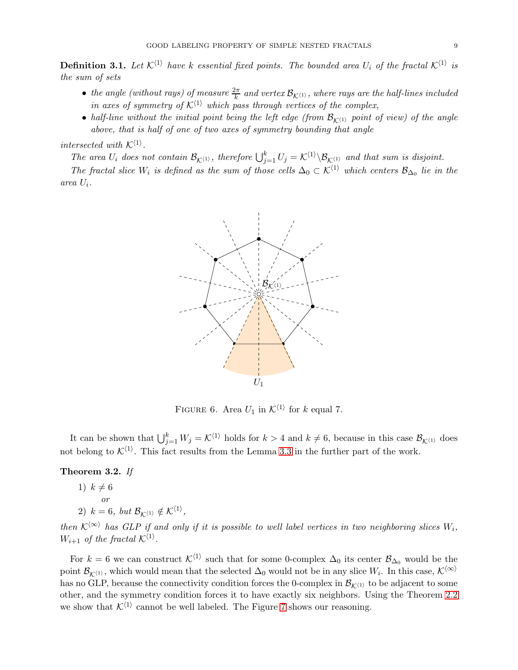**Definition 3.1.** Let  $K^{\langle 1 \rangle}$  have k essential fixed points. The bounded area  $U_i$  of the fractal  $K^{\langle 1 \rangle}$  is the sum of sets

- the angle (without rays) of measure  $\frac{2\pi}{k}$  and vertex  $\mathcal{B}_{\mathcal{K}^{(1)}}$ , where rays are the half-lines included in axes of symmetry of  $K^{\langle 1 \rangle}$  which pass through vertices of the complex,
- half-line without the initial point being the left edge (from  $\mathcal{B}_{K(1)}$  point of view) of the angle above, that is half of one of two axes of symmetry bounding that angle

# intersected with  $\mathcal{K}^{\langle 1 \rangle}$ .

The area  $U_i$  does not contain  $\mathcal{B}_{\mathcal{K}^{(1)}}$ , therefore  $\bigcup_{j=1}^k U_j = \mathcal{K}^{(1)} \setminus \mathcal{B}_{\mathcal{K}^{(1)}}$  and that sum is disjoint.

The fractal slice  $W_i$  is defined as the sum of those cells  $\Delta_0 \subset \mathcal{K}^{\langle 1 \rangle}$  which centers  $\mathcal{B}_{\Delta_0}$  lie in the area  $U_i$ .



FIGURE 6. Area  $U_1$  in  $\mathcal{K}^{\langle 1 \rangle}$  for k equal 7.

It can be shown that  $\bigcup_{j=1}^k W_j = \mathcal{K}^{\langle 1 \rangle}$  holds for  $k > 4$  and  $k \neq 6$ , because in this case  $\mathcal{B}_{\mathcal{K}^{(1)}}$  does not belong to  $\mathcal{K}^{\langle 1 \rangle}$ . This fact results from the Lemma [3.3](#page-11-0) in the further part of the work.

# <span id="page-8-0"></span>Theorem 3.2. If

1)  $k \neq 6$ 

or

2)  $k = 6$ , but  $\mathcal{B}_{\mathcal{K}^{(1)}} \notin \mathcal{K}^{\langle 1 \rangle}$ ,

then  $\mathcal{K}^{\langle\infty\rangle}$  has GLP if and only if it is possible to well label vertices in two neighboring slices  $W_i$ ,  $W_{i+1}$  of the fractal  $\mathcal{K}^{\langle 1 \rangle}$ .

For  $k = 6$  we can construct  $\mathcal{K}^{\langle 1 \rangle}$  such that for some 0-complex  $\Delta_0$  its center  $\mathcal{B}_{\Delta_0}$  would be the point  $\mathcal{B}_{\mathcal{K}^{(1)}}$ , which would mean that the selected  $\Delta_0$  would not be in any slice  $W_i$ . In this case,  $\mathcal{K}^{\langle\infty\rangle}$ has no GLP, because the connectivity condition forces the 0-complex in  $\mathcal{B}_{K(1)}$  to be adjacent to some other, and the symmetry condition forces it to have exactly six neighbors. Using the Theorem [2.2](#page-5-0) we show that  $K^{\langle 1 \rangle}$  cannot be well labeled. The Figure [7](#page-9-0) shows our reasoning.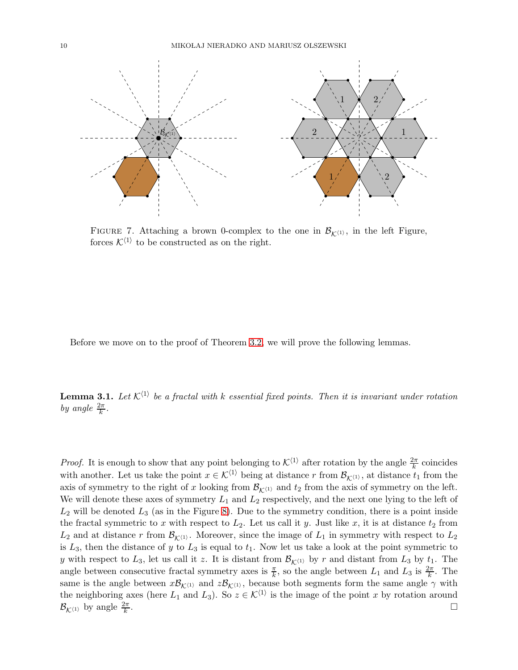

<span id="page-9-0"></span>FIGURE 7. Attaching a brown 0-complex to the one in  $\mathcal{B}_{K(1)}$ , in the left Figure, forces  $K^{\langle 1 \rangle}$  to be constructed as on the right.

Before we move on to the proof of Theorem [3.2,](#page-8-0) we will prove the following lemmas.

<span id="page-9-1"></span>**Lemma 3.1.** Let  $\mathcal{K}^{\langle 1 \rangle}$  be a fractal with k essential fixed points. Then it is invariant under rotation by angle  $\frac{2\pi}{k}$ .

*Proof.* It is enough to show that any point belonging to  $\mathcal{K}^{(1)}$  after rotation by the angle  $\frac{2\pi}{k}$  coincides with another. Let us take the point  $x \in \mathcal{K}^{\langle 1 \rangle}$  being at distance r from  $\mathcal{B}_{\mathcal{K}^{\langle 1 \rangle}}$ , at distance  $t_1$  from the axis of symmetry to the right of x looking from  $\mathcal{B}_{\mathcal{K}^{(1)}}$  and  $t_2$  from the axis of symmetry on the left. We will denote these axes of symmetry  $L_1$  and  $L_2$  respectively, and the next one lying to the left of  $L_2$  will be denoted  $L_3$  (as in the Figure [8\)](#page-10-0). Due to the symmetry condition, there is a point inside the fractal symmetric to x with respect to  $L_2$ . Let us call it y. Just like x, it is at distance  $t_2$  from  $L_2$  and at distance r from  $\mathcal{B}_{K(1)}$ . Moreover, since the image of  $L_1$  in symmetry with respect to  $L_2$ is  $L_3$ , then the distance of y to  $L_3$  is equal to  $t_1$ . Now let us take a look at the point symmetric to y with respect to  $L_3$ , let us call it z. It is distant from  $\mathcal{B}_{K(1)}$  by r and distant from  $L_3$  by  $t_1$ . The angle between consecutive fractal symmetry axes is  $\frac{\pi}{k}$ , so the angle between  $L_1$  and  $L_3$  is  $\frac{2\pi}{k}$ . The same is the angle between  $x\mathcal{B}_{\mathcal{K}^{(1)}}$  and  $z\mathcal{B}_{\mathcal{K}^{(1)}}$ , because both segments form the same angle  $\gamma$  with the neighboring axes (here  $L_1$  and  $L_3$ ). So  $z \in \mathcal{K}^{\langle 1 \rangle}$  is the image of the point x by rotation around  $\mathcal{B}_{\mathcal{K}^{\langle 1 \rangle}}$  by angle  $\frac{2\pi}{k}$ .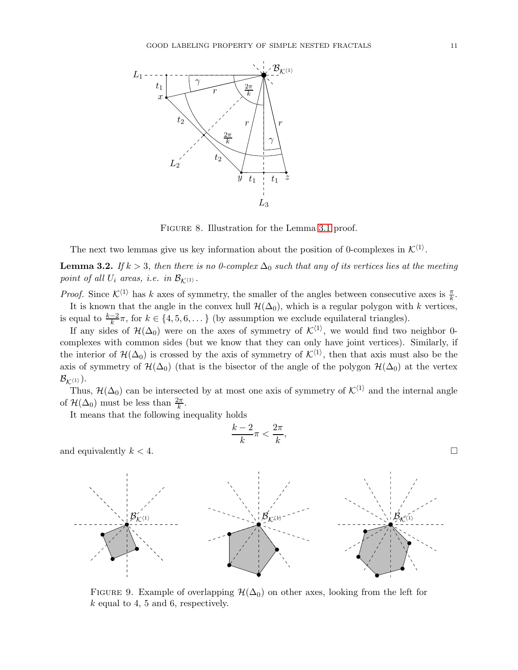

<span id="page-10-0"></span>Figure 8. Illustration for the Lemma [3.1](#page-9-1) proof.

The next two lemmas give us key information about the position of 0-complexes in  $\mathcal{K}^{\langle 1 \rangle}$ .

<span id="page-10-1"></span>**Lemma 3.2.** If  $k > 3$ , then there is no 0-complex  $\Delta_0$  such that any of its vertices lies at the meeting point of all  $U_i$  areas, i.e. in  $\mathcal{B}_{\mathcal{K}^{\langle 1\rangle}}$ .

*Proof.* Since  $\mathcal{K}^{\langle 1 \rangle}$  has k axes of symmetry, the smaller of the angles between consecutive axes is  $\frac{\pi}{k}$ . It is known that the angle in the convex hull  $\mathcal{H}(\Delta_0)$ , which is a regular polygon with k vertices, is equal to  $\frac{k-2}{k}\pi$ , for  $k \in \{4, 5, 6, \dots\}$  (by assumption we exclude equilateral triangles).

If any sides of  $\mathcal{H}(\Delta_0)$  were on the axes of symmetry of  $\mathcal{K}^{\langle 1 \rangle}$ , we would find two neighbor 0complexes with common sides (but we know that they can only have joint vertices). Similarly, if the interior of  $\mathcal{H}(\Delta_0)$  is crossed by the axis of symmetry of  $\mathcal{K}^{\langle 1 \rangle}$ , then that axis must also be the axis of symmetry of  $\mathcal{H}(\Delta_0)$  (that is the bisector of the angle of the polygon  $\mathcal{H}(\Delta_0)$  at the vertex  $\mathcal{B}_{\mathcal{K}^{\langle 1 \rangle}}$ ).

Thus,  $\mathcal{H}(\Delta_0)$  can be intersected by at most one axis of symmetry of  $\mathcal{K}^{\langle 1\rangle}$  and the internal angle of  $\mathcal{H}(\Delta_0)$  must be less than  $\frac{2\pi}{k}$ .

It means that the following inequality holds

and equivalently 
$$
k < 4
$$
.

FIGURE 9. Example of overlapping  $\mathcal{H}(\Delta_0)$  on other axes, looking from the left for  $k$  equal to 4, 5 and 6, respectively.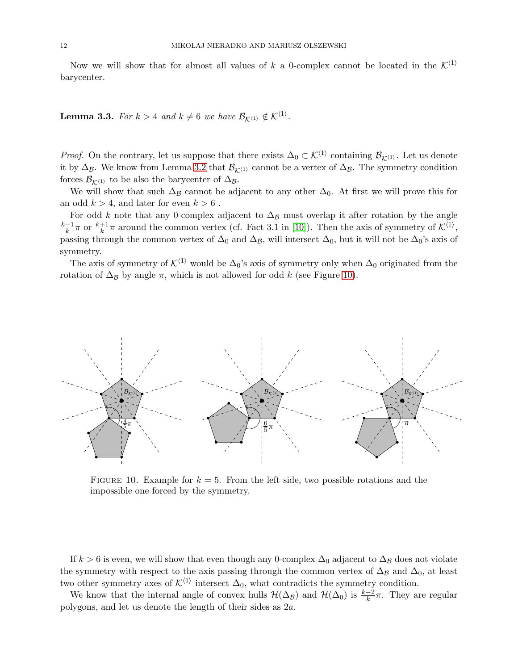Now we will show that for almost all values of k a 0-complex cannot be located in the  $\mathcal{K}^{(1)}$ barycenter.

<span id="page-11-0"></span>**Lemma 3.3.** For  $k > 4$  and  $k \neq 6$  we have  $\mathcal{B}_{\mathcal{K}^{(1)}} \notin \mathcal{K}^{(1)}$ .

*Proof.* On the contrary, let us suppose that there exists  $\Delta_0 \subset \mathcal{K}^{\langle 1 \rangle}$  containing  $\mathcal{B}_{\mathcal{K}^{\langle 1 \rangle}}$ . Let us denote it by  $\Delta_{\mathcal{B}}$ . We know from Lemma [3.2](#page-10-1) that  $\mathcal{B}_{\mathcal{K}^{(1)}}$  cannot be a vertex of  $\Delta_{\mathcal{B}}$ . The symmetry condition forces  $\mathcal{B}_{\mathcal{K}^{(1)}}$  to be also the barycenter of  $\Delta_{\mathcal{B}}$ .

We will show that such  $\Delta_B$  cannot be adjacent to any other  $\Delta_0$ . At first we will prove this for an odd  $k > 4$ , and later for even  $k > 6$ .

For odd k note that any 0-complex adjacent to  $\Delta_B$  must overlap it after rotation by the angle  $k-1$  $\frac{-1}{k}\pi$  or  $\frac{k+1}{k}\pi$  around the common vertex (cf. Fact 3.1 in [\[10\]](#page-20-13)). Then the axis of symmetry of  $\mathcal{K}^{\langle 1 \rangle}$ , passing through the common vertex of  $\Delta_0$  and  $\Delta_{\mathcal{B}}$ , will intersect  $\Delta_0$ , but it will not be  $\Delta_0$ 's axis of symmetry.

The axis of symmetry of  $\mathcal{K}^{\langle 1 \rangle}$  would be  $\Delta_0$ 's axis of symmetry only when  $\Delta_0$  originated from the rotation of  $\Delta_B$  by angle  $\pi$ , which is not allowed for odd k (see Figure [10\)](#page-11-1).



<span id="page-11-1"></span>FIGURE 10. Example for  $k = 5$ . From the left side, two possible rotations and the impossible one forced by the symmetry.

If  $k > 6$  is even, we will show that even though any 0-complex  $\Delta_0$  adjacent to  $\Delta_B$  does not violate the symmetry with respect to the axis passing through the common vertex of  $\Delta_B$  and  $\Delta_0$ , at least two other symmetry axes of  $\mathcal{K}^{\langle 1 \rangle}$  intersect  $\Delta_0$ , what contradicts the symmetry condition.

We know that the internal angle of convex hulls  $\mathcal{H}(\Delta_B)$  and  $\mathcal{H}(\Delta_0)$  is  $\frac{k-2}{k}\pi$ . They are regular polygons, and let us denote the length of their sides as 2a.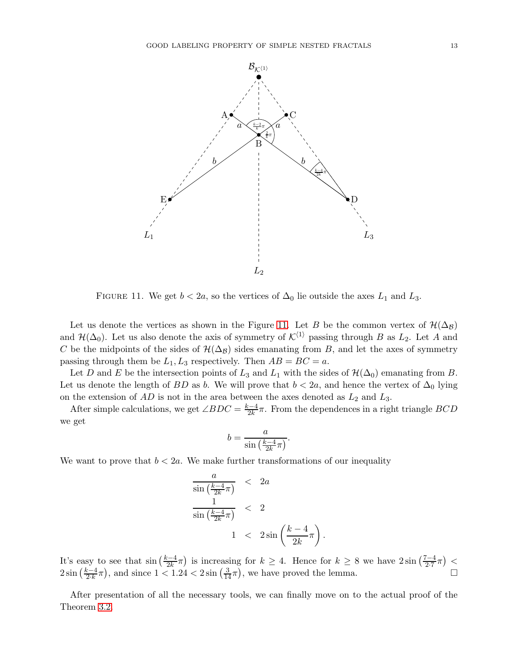

<span id="page-12-0"></span>FIGURE 11. We get  $b < 2a$ , so the vertices of  $\Delta_0$  lie outside the axes  $L_1$  and  $L_3$ .

Let us denote the vertices as shown in the Figure [11.](#page-12-0) Let B be the common vertex of  $\mathcal{H}(\Delta_B)$ and  $\mathcal{H}(\Delta_0)$ . Let us also denote the axis of symmetry of  $\mathcal{K}^{\langle 1\rangle}$  passing through B as  $L_2$ . Let A and C be the midpoints of the sides of  $\mathcal{H}(\Delta_B)$  sides emanating from B, and let the axes of symmetry passing through them be  $L_1, L_3$  respectively. Then  $AB = BC = a$ .

Let D and E be the intersection points of  $L_3$  and  $L_1$  with the sides of  $\mathcal{H}(\Delta_0)$  emanating from B. Let us denote the length of BD as b. We will prove that  $b < 2a$ , and hence the vertex of  $\Delta_0$  lying on the extension of  $AD$  is not in the area between the axes denoted as  $L_2$  and  $L_3$ .

After simple calculations, we get  $\angle BDC = \frac{k-4}{2k}$  $\frac{2-4}{2k}\pi$ . From the dependences in a right triangle  $BCD$ we get

$$
b = \frac{a}{\sin\left(\frac{k-4}{2k}\pi\right)}.
$$

We want to prove that  $b < 2a$ . We make further transformations of our inequality

<span id="page-12-1"></span>
$$
\frac{a}{\sin\left(\frac{k-4}{2k}\pi\right)} < 2a
$$
\n
$$
\frac{1}{\sin\left(\frac{k-4}{2k}\pi\right)} < 2
$$
\n
$$
1 < 2\sin\left(\frac{k-4}{2k}\pi\right)
$$

It's easy to see that  $\sin\left(\frac{k-4}{2k}\right)$  $\frac{z-4}{2k}\pi$ ) is increasing for  $k \geq 4$ . Hence for  $k \geq 8$  we have  $2\sin\left(\frac{7-4}{2\cdot 7}\right)$  $\frac{7-4}{2\cdot7}\pi$  > <  $2\sin\left(\frac{k-4}{2\cdot k}\right)$  $\frac{z-4}{2k}\pi$ , and since  $1 < 1.24 < 2\sin\left(\frac{3}{14}\pi\right)$ , we have proved the lemma.

.

After presentation of all the necessary tools, we can finally move on to the actual proof of the Theorem [3.2.](#page-8-0)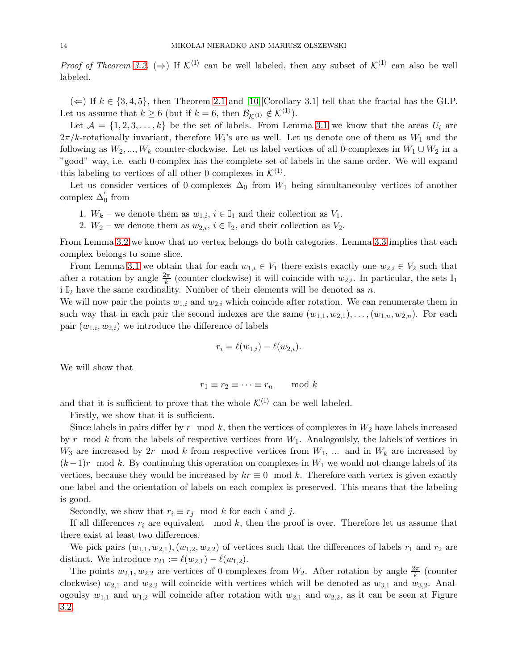*Proof of Theorem [3.2.](#page-8-0)* ( $\Rightarrow$ ) If  $\mathcal{K}^{\langle 1 \rangle}$  can be well labeled, then any subset of  $\mathcal{K}^{\langle 1 \rangle}$  can also be well labeled.

(←) If  $k \in \{3, 4, 5\}$ , then Theorem [2.1](#page-5-1) and [\[10\]](#page-20-13)[Corollary 3.1] tell that the fractal has the GLP. Let us assume that  $k \geq 6$  (but if  $k = 6$ , then  $\mathcal{B}_{\mathcal{K}^{(1)}} \notin \mathcal{K}^{(1)}$ ).

Let  $\mathcal{A} = \{1, 2, 3, ..., k\}$  be the set of labels. From Lemma [3.1](#page-9-1) we know that the areas  $U_i$  are  $2\pi/k$ -rotationally invariant, therefore  $W_i$ 's are as well. Let us denote one of them as  $W_1$  and the following as  $W_2, ..., W_k$  counter-clockwise. Let us label vertices of all 0-complexes in  $W_1 \cup W_2$  in a "good" way, i.e. each 0-complex has the complete set of labels in the same order. We will expand this labeling to vertices of all other 0-complexes in  $\mathcal{K}^{\langle 1 \rangle}$ .

Let us consider vertices of 0-complexes  $\Delta_0$  from  $W_1$  being simultaneoulsy vertices of another complex  $\Delta'_0$  from

- 1.  $W_k$  we denote them as  $w_{1,i}$ ,  $i \in \mathbb{I}_1$  and their collection as  $V_1$ .
- 2.  $W_2$  we denote them as  $w_{2,i}$ ,  $i \in \mathbb{I}_2$ , and their collection as  $V_2$ .

From Lemma [3.2](#page-10-1) we know that no vertex belongs do both categories. Lemma [3.3](#page-11-0) implies that each complex belongs to some slice.

From Lemma [3.1](#page-9-1) we obtain that for each  $w_{1,i} \in V_1$  there exists exactly one  $w_{2,i} \in V_2$  such that after a rotation by angle  $\frac{2\pi}{k}$  (counter clockwise) it will coincide with  $w_{2,i}$ . In particular, the sets  $\mathbb{I}_1$ i  $\mathbb{I}_2$  have the same cardinality. Number of their elements will be denoted as n.

We will now pair the points  $w_{1,i}$  and  $w_{2,i}$  which coincide after rotation. We can renumerate them in such way that in each pair the second indexes are the same  $(w_{1,1}, w_{2,1}), \ldots, (w_{1,n}, w_{2,n})$ . For each pair  $(w_{1,i}, w_{2,i})$  we introduce the difference of labels

$$
r_i = \ell(w_{1,i}) - \ell(w_{2,i}).
$$

We will show that

$$
r_1 \equiv r_2 \equiv \cdots \equiv r_n \mod k
$$

and that it is sufficient to prove that the whole  $\mathcal{K}^{\langle 1 \rangle}$  can be well labeled.

Firstly, we show that it is sufficient.

Since labels in pairs differ by r mod k, then the vertices of complexes in  $W_2$  have labels increased by r mod k from the labels of respective vertices from  $W_1$ . Analogoulsly, the labels of vertices in  $W_3$  are increased by 2r mod k from respective vertices from  $W_1$ , ... and in  $W_k$  are increased by  $(k-1)r$  mod k. By continuing this operation on complexes in W<sub>1</sub> we would not change labels of its vertices, because they would be increased by  $kr \equiv 0 \mod k$ . Therefore each vertex is given exactly one label and the orientation of labels on each complex is preserved. This means that the labeling is good.

Secondly, we show that  $r_i \equiv r_j \mod k$  for each i and j.

If all differences  $r_i$  are equivalent mod k, then the proof is over. Therefore let us assume that there exist at least two differences.

We pick pairs  $(w_{1,1}, w_{2,1}), (w_{1,2}, w_{2,2})$  of vertices such that the differences of labels  $r_1$  and  $r_2$  are distinct. We introduce  $r_{21} := \ell(w_{2,1}) - \ell(w_{1,2}).$ 

The points  $w_{2,1}, w_{2,2}$  are vertices of 0-complexes from  $W_2$ . After rotation by angle  $\frac{2\pi}{k}$  (counter clockwise)  $w_{2,1}$  and  $w_{2,2}$  will coincide with vertices which will be denoted as  $w_{3,1}$  and  $w_{3,2}$ . Analogoulsy  $w_{1,1}$  and  $w_{1,2}$  will coincide after rotation with  $w_{2,1}$  and  $w_{2,2}$ , as it can be seen at Figure [3.2.](#page-12-1)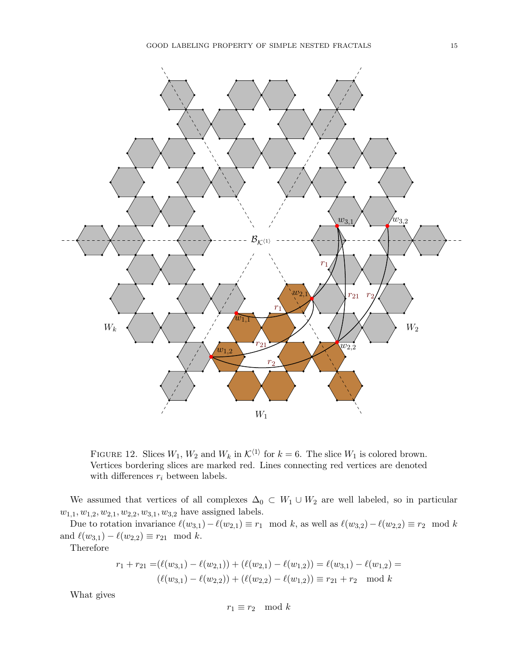

FIGURE 12. Slices  $W_1$ ,  $W_2$  and  $W_k$  in  $\mathcal{K}^{\langle 1 \rangle}$  for  $k = 6$ . The slice  $W_1$  is colored brown. Vertices bordering slices are marked red. Lines connecting red vertices are denoted with differences  $r_i$  between labels.

We assumed that vertices of all complexes  $\Delta_0 \subset W_1 \cup W_2$  are well labeled, so in particular  $w_{1,1}, w_{1,2}, w_{2,1}, w_{2,2}, w_{3,1}, w_{3,2}$  have assigned labels.

Due to rotation invariance  $\ell(w_{3,1}) - \ell(w_{2,1}) \equiv r_1 \mod k$ , as well as  $\ell(w_{3,2}) - \ell(w_{2,2}) \equiv r_2 \mod k$ and  $\ell(w_{3,1}) - \ell(w_{2,2}) \equiv r_{21} \mod k$ .

Therefore

$$
r_1 + r_{21} = (\ell(w_{3,1}) - \ell(w_{2,1})) + (\ell(w_{2,1}) - \ell(w_{1,2})) = \ell(w_{3,1}) - \ell(w_{1,2}) =
$$
  

$$
(\ell(w_{3,1}) - \ell(w_{2,2})) + (\ell(w_{2,2}) - \ell(w_{1,2})) \equiv r_{21} + r_2 \mod k
$$

What gives

$$
r_1 \equiv r_2 \mod k
$$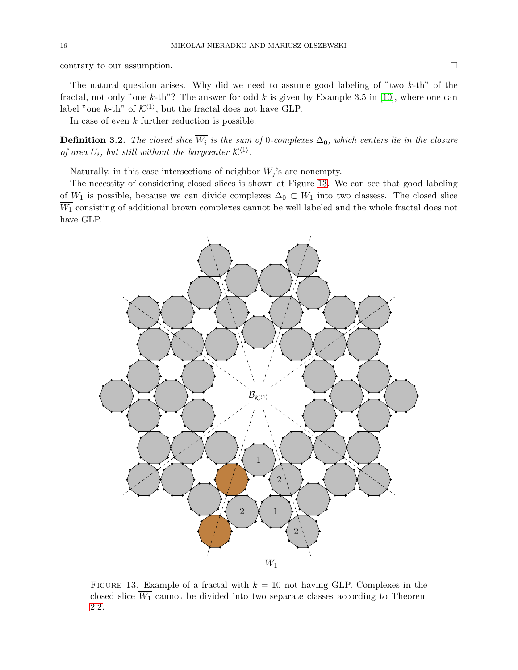contrary to our assumption.

The natural question arises. Why did we need to assume good labeling of "two  $k$ -th" of the fractal, not only "one k-th"? The answer for odd  $k$  is given by Example 3.5 in [\[10\]](#page-20-13), where one can label "one k-th" of  $K^{\langle 1 \rangle}$ , but the fractal does not have GLP.

In case of even  $k$  further reduction is possible.

**Definition 3.2.** The closed slice  $W_i$  is the sum of 0-complexes  $\Delta_0$ , which centers lie in the closure of area  $U_i$ , but still without the barycenter  $\mathcal{K}^{\langle 1 \rangle}$ .

Naturally, in this case intersections of neighbor  $\overline{W_j}$ 's are nonempty.

The necessity of considering closed slices is shown at Figure [13.](#page-15-0) We can see that good labeling of  $W_1$  is possible, because we can divide complexes  $\Delta_0 \subset W_1$  into two classess. The closed slice  $\overline{W_1}$  consisting of additional brown complexes cannot be well labeled and the whole fractal does not have GLP.



<span id="page-15-0"></span>FIGURE 13. Example of a fractal with  $k = 10$  not having GLP. Complexes in the closed slice  $\overline{W_1}$  cannot be divided into two separate classes according to Theorem [2.2.](#page-5-0)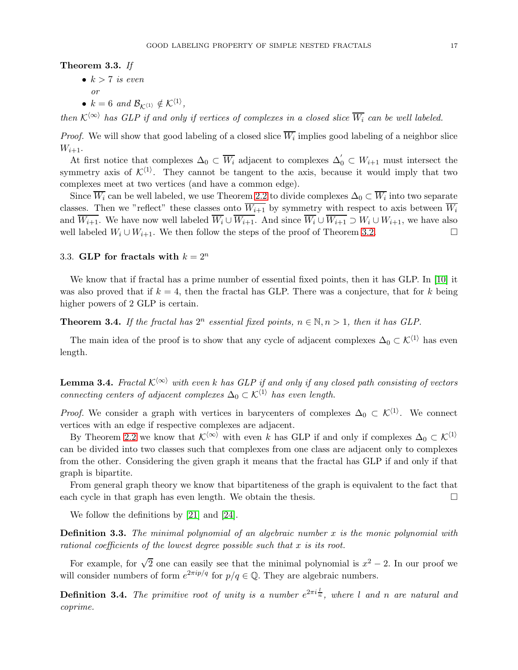# <span id="page-16-0"></span>Theorem 3.3. If

•  $k > 7$  is even

$$
or
$$

•  $k = 6$  and  $\mathcal{B}_{\mathcal{K}^{(1)}} \notin \mathcal{K}^{\langle 1 \rangle},$ 

then  $\mathcal{K}^{\langle\infty\rangle}$  has GLP if and only if vertices of complexes in a closed slice  $\overline{W_i}$  can be well labeled.

*Proof.* We will show that good labeling of a closed slice  $W_i$  implies good labeling of a neighbor slice  $W_{i+1}$ .

At first notice that complexes  $\Delta_0 \subset \overline{W_i}$  adjacent to complexes  $\Delta'_0 \subset W_{i+1}$  must intersect the symmetry axis of  $\mathcal{K}^{\langle 1 \rangle}$ . They cannot be tangent to the axis, because it would imply that two complexes meet at two vertices (and have a common edge).

Since  $W_i$  can be well labeled, we use Theorem [2.2](#page-5-0) to divide complexes  $\Delta_0 \subset W_i$  into two separate classes. Then we "reflect" these classes onto  $\overline{W_{i+1}}$  by symmetry with respect to axis between  $\overline{W_i}$ and  $\overline{W_{i+1}}$ . We have now well labeled  $\overline{W_i} \cup \overline{W_{i+1}}$ . And since  $\overline{W_i} \cup \overline{W_{i+1}} \supset W_i \cup W_{i+1}$ , we have also well labeled  $W_i \cup W_{i+1}$ . We then follow the steps of the proof of Theorem [3.2.](#page-8-0) □

# 3.3. GLP for fractals with  $k = 2^n$

We know that if fractal has a prime number of essential fixed points, then it has GLP. In [\[10\]](#page-20-13) it was also proved that if  $k = 4$ , then the fractal has GLP. There was a conjecture, that for k being higher powers of 2 GLP is certain.

<span id="page-16-1"></span>**Theorem 3.4.** If the fractal has  $2^n$  essential fixed points,  $n \in \mathbb{N}, n > 1$ , then it has GLP.

The main idea of the proof is to show that any cycle of adjacent complexes  $\Delta_0 \subset \mathcal{K}^{\langle 1 \rangle}$  has even length.

<span id="page-16-2"></span>**Lemma 3.4.** Fractal  $K^{\langle\infty\rangle}$  with even k has GLP if and only if any closed path consisting of vectors connecting centers of adjacent complexes  $\Delta_0 \subset \mathcal{K}^{\langle 1 \rangle}$  has even length.

*Proof.* We consider a graph with vertices in barycenters of complexes  $\Delta_0 \subset \mathcal{K}^{\langle 1 \rangle}$ . We connect vertices with an edge if respective complexes are adjacent.

By Theorem [2.2](#page-5-0) we know that  $\mathcal{K}^{\langle \infty \rangle}$  with even k has GLP if and only if complexes  $\Delta_0 \subset \mathcal{K}^{\langle 1 \rangle}$ can be divided into two classes such that complexes from one class are adjacent only to complexes from the other. Considering the given graph it means that the fractal has GLP if and only if that graph is bipartite.

From general graph theory we know that bipartiteness of the graph is equivalent to the fact that each cycle in that graph has even length. We obtain the thesis.  $\square$ 

We follow the definitions by [\[21\]](#page-20-20) and [\[24\]](#page-20-21).

**Definition 3.3.** The minimal polynomial of an algebraic number  $x$  is the monic polynomial with rational coefficients of the lowest degree possible such that x is its root.

For example, for  $\sqrt{2}$  one can easily see that the minimal polynomial is  $x^2 - 2$ . In our proof we will consider numbers of form  $e^{2\pi i p/q}$  for  $p/q \in \mathbb{Q}$ . They are algebraic numbers.

**Definition 3.4.** The primitive root of unity is a number  $e^{2\pi i \frac{1}{n}}$ , where l and n are natural and coprime.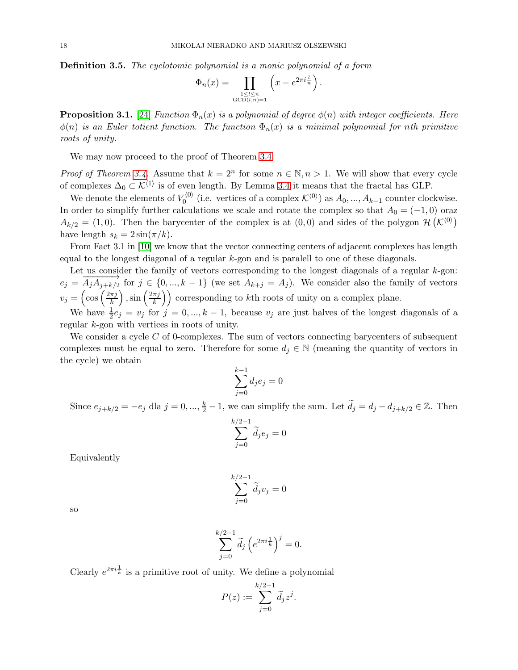Definition 3.5. The cyclotomic polynomial is a monic polynomial of a form

$$
\Phi_n(x) = \prod_{\substack{1 \le l \le n \\ \text{GCD}(l,n)=1}} \left( x - e^{2\pi i \frac{l}{n}} \right).
$$

**Proposition 3.1.** [\[24\]](#page-20-21) Function  $\Phi_n(x)$  is a polynomial of degree  $\phi(n)$  with integer coefficients. Here  $\phi(n)$  is an Euler totient function. The function  $\Phi_n(x)$  is a minimal polynomial for nth primitive roots of unity.

We may now proceed to the proof of Theorem [3.4.](#page-16-1)

*Proof of Theorem [3.4.](#page-16-1)* Assume that  $k = 2^n$  for some  $n \in \mathbb{N}, n > 1$ . We will show that every cycle of complexes  $\Delta_0 \subset \mathcal{K}^{\langle 1 \rangle}$  is of even length. By Lemma [3.4](#page-16-2) it means that the fractal has GLP.

We denote the elements of  $V_0^{(0)}$  (i.e. vertices of a complex  $\mathcal{K}^{(0)}$ ) as  $A_0, ..., A_{k-1}$  counter clockwise. In order to simplify further calculations we scale and rotate the complex so that  $A_0 = (-1, 0)$  oraz  $A_{k/2} = (1,0)$ . Then the barycenter of the complex is at  $(0,0)$  and sides of the polygon  $\mathcal{H}(\mathcal{K}^{(0)})$ have length  $s_k = 2 \sin(\pi/k)$ .

From Fact 3.1 in [\[10\]](#page-20-13) we know that the vector connecting centers of adjacent complexes has length equal to the longest diagonal of a regular k-gon and is paralell to one of these diagonals.

Let us consider the family of vectors corresponding to the longest diagonals of a regular  $k$ -gon:  $e_j = \overrightarrow{A_j A_{j+k/2}}$  for  $j \in \{0, ..., k-1\}$  (we set  $A_{k+j} = A_j$ ). We consider also the family of vectors  $v_j = \left(\cos\left(\frac{2\pi j}{k}\right)\right)$ k ),  $\sin\left(\frac{2\pi j}{k}\right)$  $\left(\frac{\pi j}{k}\right)$  corresponding to kth roots of unity on a complex plane.

We have  $\frac{1}{2}e_j = v_j$  for  $j = 0, ..., k-1$ , because  $v_j$  are just halves of the longest diagonals of a regular k-gon with vertices in roots of unity.

We consider a cycle  $C$  of 0-complexes. The sum of vectors connecting barycenters of subsequent complexes must be equal to zero. Therefore for some  $d_i \in \mathbb{N}$  (meaning the quantity of vectors in the cycle) we obtain

$$
\sum_{j=0}^{k-1} d_j e_j = 0
$$

Since  $e_{j+k/2} = -e_j$  dla  $j = 0, ..., \frac{k}{2} - 1$ , we can simplify the sum. Let  $\tilde{d}_j = d_j - d_{j+k/2} \in \mathbb{Z}$ . Then

$$
\sum_{j=0}^{k/2-1} \widetilde{d}_j e_j = 0
$$

Equivalently

$$
\sum_{j=0}^{k/2-1} \widetilde{d}_j v_j = 0
$$

so

$$
\sum_{j=0}^{k/2-1} \widetilde{d}_j \left( e^{2\pi i \frac{1}{k}} \right)^j = 0.
$$

Clearly  $e^{2\pi i \frac{1}{k}}$  is a primitive root of unity. We define a polynomial

$$
P(z) := \sum_{j=0}^{k/2-1} \widetilde{d}_j z^j.
$$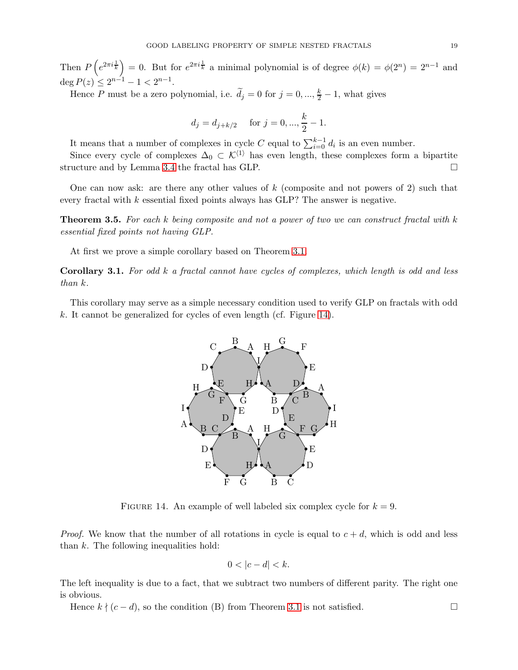Then  $P(e^{2\pi i \frac{1}{k}}) = 0$ . But for  $e^{2\pi i \frac{1}{k}}$  a minimal polynomial is of degree  $\phi(k) = \phi(2^n) = 2^{n-1}$  and  $\deg P(z) \leq 2^{n-1} - 1 < 2^{n-1}.$ 

Hence P must be a zero polynomial, i.e.  $\tilde{d}_j = 0$  for  $j = 0, ..., \frac{k}{2} - 1$ , what gives

$$
d_j = d_{j+k/2}
$$
 for  $j = 0, ..., \frac{k}{2} - 1$ .

It means that a number of complexes in cycle C equal to  $\sum_{i=0}^{k-1} d_i$  is an even number.

Since every cycle of complexes  $\Delta_0 \subset \mathcal{K}^{\langle 1 \rangle}$  has even length, these complexes form a bipartite structure and by Lemma [3.4](#page-16-2) the fractal has GLP.

One can now ask: are there any other values of  $k$  (composite and not powers of 2) such that every fractal with  $k$  essential fixed points always has GLP? The answer is negative.

<span id="page-18-2"></span>Theorem 3.5. For each k being composite and not a power of two we can construct fractal with k essential fixed points not having GLP.

At first we prove a simple corollary based on Theorem [3.1.](#page-6-0)

<span id="page-18-1"></span>Corollary 3.1. For odd k a fractal cannot have cycles of complexes, which length is odd and less than k.

This corollary may serve as a simple necessary condition used to verify GLP on fractals with odd k. It cannot be generalized for cycles of even length (cf. Figure [14\)](#page-18-0).



<span id="page-18-0"></span>FIGURE 14. An example of well labeled six complex cycle for  $k = 9$ .

*Proof.* We know that the number of all rotations in cycle is equal to  $c + d$ , which is odd and less than  $k$ . The following inequalities hold:

$$
0<|c-d|
$$

The left inequality is due to a fact, that we subtract two numbers of different parity. The right one is obvious.

Hence  $k \nmid (c - d)$ , so the condition (B) from Theorem [3.1](#page-6-0) is not satisfied.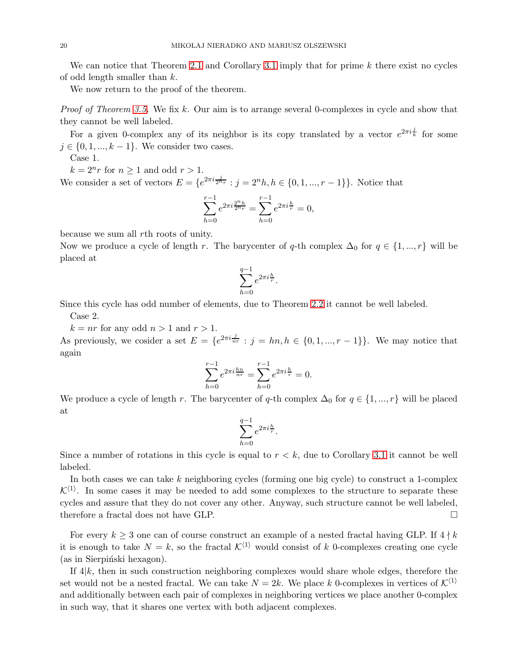We can notice that Theorem [2.1](#page-5-1) and Corollary [3.1](#page-18-1) imply that for prime  $k$  there exist no cycles of odd length smaller than k.

We now return to the proof of the theorem.

Proof of Theorem [3.5.](#page-18-2) We fix k. Our aim is to arrange several 0-complexes in cycle and show that they cannot be well labeled.

For a given 0-complex any of its neighbor is its copy translated by a vector  $e^{2\pi i \frac{j}{k}}$  for some  $j \in \{0, 1, ..., k-1\}$ . We consider two cases.

Case 1.

 $k = 2^n r$  for  $n \ge 1$  and odd  $r > 1$ . We consider a set of vectors  $E = \{e^{2\pi i \frac{j}{2^n r}} : j = 2^n h, h \in \{0, 1, ..., r - 1\}\}\.$  Notice that

$$
\sum_{h=0}^{r-1} e^{2\pi i \frac{2^n h}{2^n r}} = \sum_{h=0}^{r-1} e^{2\pi i \frac{h}{r}} = 0,
$$

because we sum all rth roots of unity.

Now we produce a cycle of length r. The barycenter of q-th complex  $\Delta_0$  for  $q \in \{1, ..., r\}$  will be placed at

$$
\sum_{h=0}^{q-1} e^{2\pi i \frac{h}{r}}.
$$

Since this cycle has odd number of elements, due to Theorem [2.2](#page-5-0) it cannot be well labeled.

Case 2.

 $k = nr$  for any odd  $n > 1$  and  $r > 1$ .

As previously, we cosider a set  $E = \{e^{2\pi i \frac{j}{nr}} : j = hn, h \in \{0, 1, ..., r-1\}\}\.$  We may notice that again

$$
\sum_{h=0}^{r-1} e^{2\pi i \frac{hn}{nr}} = \sum_{h=0}^{r-1} e^{2\pi i \frac{h}{r}} = 0.
$$

We produce a cycle of length r. The barycenter of q-th complex  $\Delta_0$  for  $q \in \{1, ..., r\}$  will be placed at

$$
\sum_{h=0}^{q-1} e^{2\pi i \frac{h}{r}}.
$$

Since a number of rotations in this cycle is equal to  $r < k$ , due to Corollary [3.1](#page-18-1) it cannot be well labeled.

In both cases we can take  $k$  neighboring cycles (forming one big cycle) to construct a 1-complex  $\mathcal{K}^{\langle 1 \rangle}$ . In some cases it may be needed to add some complexes to the structure to separate these cycles and assure that they do not cover any other. Anyway, such structure cannot be well labeled, therefore a fractal does not have GLP.

For every  $k \geq 3$  one can of course construct an example of a nested fractal having GLP. If  $4 \nmid k$ it is enough to take  $N = k$ , so the fractal  $\mathcal{K}^{\langle 1 \rangle}$  would consist of k 0-complexes creating one cycle  $(as in Sierpiński hexagon).$ 

If  $4|k$ , then in such construction neighboring complexes would share whole edges, therefore the set would not be a nested fractal. We can take  $N = 2k$ . We place k 0-complexes in vertices of  $\mathcal{K}^{(1)}$ and additionally between each pair of complexes in neighboring vertices we place another 0-complex in such way, that it shares one vertex with both adjacent complexes.